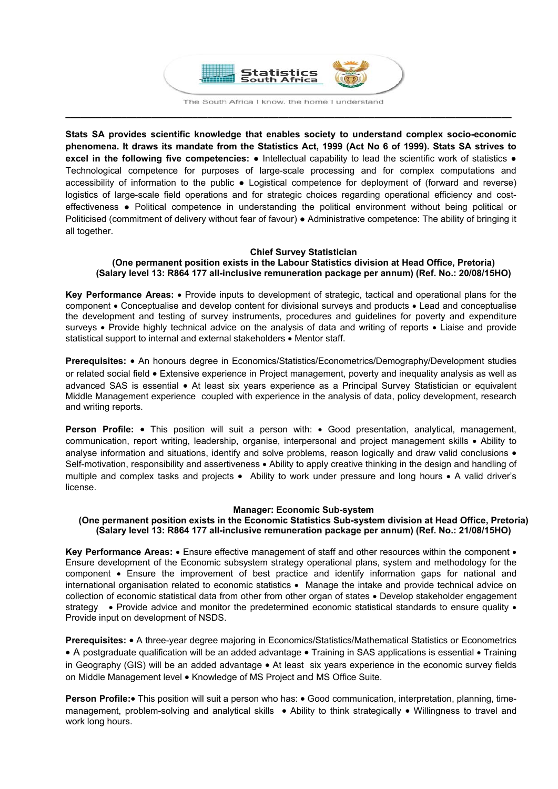

**\_\_\_\_\_\_\_\_\_\_\_\_\_\_\_\_\_\_\_\_\_\_\_\_\_\_\_\_\_\_\_\_\_\_\_\_\_\_\_\_\_\_\_\_\_\_\_\_\_\_\_\_\_\_\_\_\_\_\_\_\_\_\_\_\_\_\_\_\_\_\_\_\_\_\_\_\_\_\_\_\_\_\_\_\_\_\_\_** 

**Stats SA provides scientific knowledge that enables society to understand complex socio-economic phenomena. It draws its mandate from the Statistics Act, 1999 (Act No 6 of 1999). Stats SA strives to excel in the following five competencies:** ● Intellectual capability to lead the scientific work of statistics ● Technological competence for purposes of large-scale processing and for complex computations and accessibility of information to the public ● Logistical competence for deployment of (forward and reverse) logistics of large-scale field operations and for strategic choices regarding operational efficiency and costeffectiveness ● Political competence in understanding the political environment without being political or Politicised (commitment of delivery without fear of favour) ● Administrative competence: The ability of bringing it all together.

## **Chief Survey Statistician**

#### **(One permanent position exists in the Labour Statistics division at Head Office, Pretoria) (Salary level 13: R864 177 all-inclusive remuneration package per annum) (Ref. No.: 20/08/15HO)**

**Key Performance Areas:** • Provide inputs to development of strategic, tactical and operational plans for the component Conceptualise and develop content for divisional surveys and products Lead and conceptualise the development and testing of survey instruments, procedures and guidelines for poverty and expenditure surveys . Provide highly technical advice on the analysis of data and writing of reports . Liaise and provide statistical support to internal and external stakeholders • Mentor staff.

**Prerequisites:** • An honours degree in Economics/Statistics/Econometrics/Demography/Development studies or related social field Extensive experience in Project management, poverty and inequality analysis as well as advanced SAS is essential • At least six years experience as a Principal Survey Statistician or equivalent Middle Management experience coupled with experience in the analysis of data, policy development, research and writing reports.

Person Profile: • This position will suit a person with: • Good presentation, analytical, management, communication, report writing, leadership, organise, interpersonal and project management skills Ability to analyse information and situations, identify and solve problems, reason logically and draw valid conclusions  $\bullet$ Self-motivation, responsibility and assertiveness • Ability to apply creative thinking in the design and handling of multiple and complex tasks and projects • Ability to work under pressure and long hours • A valid driver's license.

## **Manager: Economic Sub-system**

## **(One permanent position exists in the Economic Statistics Sub-system division at Head Office, Pretoria) (Salary level 13: R864 177 all-inclusive remuneration package per annum) (Ref. No.: 21/08/15HO)**

**Key Performance Areas:** • Ensure effective management of staff and other resources within the component • Ensure development of the Economic subsystem strategy operational plans, system and methodology for the component Ensure the improvement of best practice and identify information gaps for national and international organisation related to economic statistics • Manage the intake and provide technical advice on collection of economic statistical data from other from other organ of states • Develop stakeholder engagement strategy  $\bullet$  Provide advice and monitor the predetermined economic statistical standards to ensure quality  $\bullet$ Provide input on development of NSDS.

**Prerequisites:** • A three-year degree majoring in Economics/Statistics/Mathematical Statistics or Econometrics • A postgraduate qualification will be an added advantage • Training in SAS applications is essential • Training in Geography (GIS) will be an added advantage  $\bullet$  At least six years experience in the economic survey fields on Middle Management level • Knowledge of MS Project and MS Office Suite.

**Person Profile:** This position will suit a person who has: . Good communication, interpretation, planning, timemanagement, problem-solving and analytical skills • Ability to think strategically • Willingness to travel and work long hours.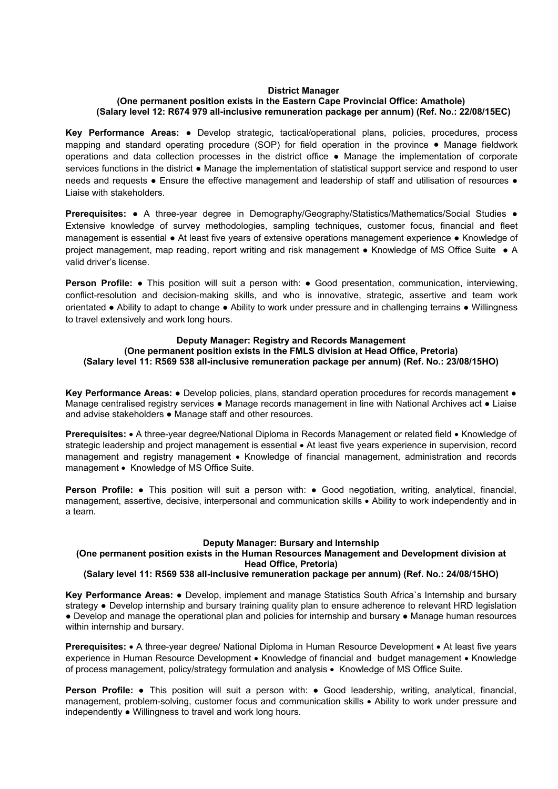#### **District Manager**

## **(One permanent position exists in the Eastern Cape Provincial Office: Amathole) (Salary level 12: R674 979 all-inclusive remuneration package per annum) (Ref. No.: 22/08/15EC)**

**Key Performance Areas:** ● Develop strategic, tactical/operational plans, policies, procedures, process mapping and standard operating procedure (SOP) for field operation in the province ● Manage fieldwork operations and data collection processes in the district office ● Manage the implementation of corporate services functions in the district • Manage the implementation of statistical support service and respond to user needs and requests • Ensure the effective management and leadership of staff and utilisation of resources • Liaise with stakeholders.

**Prerequisites:** ● A three-year degree in Demography/Geography/Statistics/Mathematics/Social Studies ● Extensive knowledge of survey methodologies, sampling techniques, customer focus, financial and fleet management is essential ● At least five years of extensive operations management experience ● Knowledge of project management, map reading, report writing and risk management ● Knowledge of MS Office Suite ● A valid driver's license.

**Person Profile: ●** This position will suit a person with: ● Good presentation, communication, interviewing, conflict-resolution and decision-making skills, and who is innovative, strategic, assertive and team work orientated ● Ability to adapt to change ● Ability to work under pressure and in challenging terrains ● Willingness to travel extensively and work long hours.

## **Deputy Manager: Registry and Records Management**

**(One permanent position exists in the FMLS division at Head Office, Pretoria) (Salary level 11: R569 538 all-inclusive remuneration package per annum) (Ref. No.: 23/08/15HO)** 

**Key Performance Areas:** ● Develop policies, plans, standard operation procedures for records management **●** Manage centralised registry services ● Manage records management in line with National Archives act ● Liaise and advise stakeholders **●** Manage staff and other resources.

**Prerequisites:** • A three-year degree/National Diploma in Records Management or related field • Knowledge of strategic leadership and project management is essential  $\bullet$  At least five years experience in supervision, record management and registry management • Knowledge of financial management, administration and records management • Knowledge of MS Office Suite.

**Person Profile:** ● This position will suit a person with: ● Good negotiation, writing, analytical, financial, management, assertive, decisive, interpersonal and communication skills Ability to work independently and in a team.

## **Deputy Manager: Bursary and Internship**

## **(One permanent position exists in the Human Resources Management and Development division at Head Office, Pretoria)**

## **(Salary level 11: R569 538 all-inclusive remuneration package per annum) (Ref. No.: 24/08/15HO)**

**Key Performance Areas:** ● Develop, implement and manage Statistics South Africa`s Internship and bursary strategy **●** Develop internship and bursary training quality plan to ensure adherence to relevant HRD legislation ● Develop and manage the operational plan and policies for internship and bursary ● Manage human resources within internship and bursary.

**Prerequisites:** • A three-year degree/ National Diploma in Human Resource Development • At least five years experience in Human Resource Development • Knowledge of financial and budget management • Knowledge of process management, policy/strategy formulation and analysis • Knowledge of MS Office Suite.

**Person Profile:** ● This position will suit a person with: ● Good leadership, writing, analytical, financial, management, problem-solving, customer focus and communication skills • Ability to work under pressure and independently ● Willingness to travel and work long hours.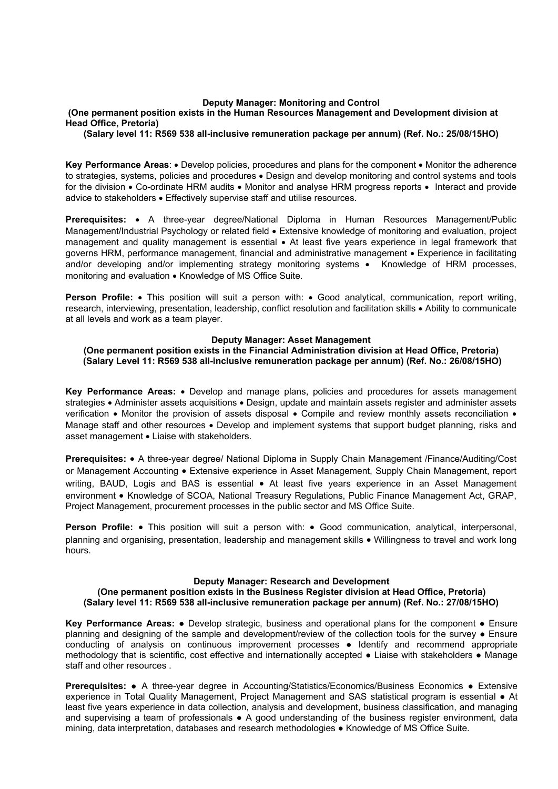#### **Deputy Manager: Monitoring and Control**

#### **(One permanent position exists in the Human Resources Management and Development division at Head Office, Pretoria)**

**(Salary level 11: R569 538 all-inclusive remuneration package per annum) (Ref. No.: 25/08/15HO)** 

Key Performance Areas: • Develop policies, procedures and plans for the component • Monitor the adherence to strategies, systems, policies and procedures Design and develop monitoring and control systems and tools for the division  $\bullet$  Co-ordinate HRM audits  $\bullet$  Monitor and analyse HRM progress reports  $\bullet$  Interact and provide advice to stakeholders . Effectively supervise staff and utilise resources.

**Prerequisites:** • A three-year degree/National Diploma in Human Resources Management/Public Management/Industrial Psychology or related field . Extensive knowledge of monitoring and evaluation, project management and quality management is essential • At least five years experience in legal framework that governs HRM, performance management, financial and administrative management Experience in facilitating and/or developing and/or implementing strategy monitoring systems • Knowledge of HRM processes, monitoring and evaluation • Knowledge of MS Office Suite.

**Person Profile:** • This position will suit a person with: • Good analytical, communication, report writing, research, interviewing, presentation, leadership, conflict resolution and facilitation skills Ability to communicate at all levels and work as a team player.

#### **Deputy Manager: Asset Management**

**(One permanent position exists in the Financial Administration division at Head Office, Pretoria) (Salary Level 11: R569 538 all-inclusive remuneration package per annum) (Ref. No.: 26/08/15HO)** 

**Key Performance Areas:**  Develop and manage plans, policies and procedures for assets management strategies • Administer assets acquisitions • Design, update and maintain assets register and administer assets verification • Monitor the provision of assets disposal • Compile and review monthly assets reconciliation • Manage staff and other resources . Develop and implement systems that support budget planning, risks and asset management . Liaise with stakeholders.

**Prerequisites:** • A three-year degree/ National Diploma in Supply Chain Management /Finance/Auditing/Cost or Management Accounting Extensive experience in Asset Management, Supply Chain Management, report writing, BAUD, Logis and BAS is essential • At least five years experience in an Asset Management environment • Knowledge of SCOA, National Treasury Regulations, Public Finance Management Act, GRAP, Project Management, procurement processes in the public sector and MS Office Suite.

**Person Profile:** • This position will suit a person with: • Good communication, analytical, interpersonal, planning and organising, presentation, leadership and management skills • Willingness to travel and work long hours.

#### **Deputy Manager: Research and Development (One permanent position exists in the Business Register division at Head Office, Pretoria) (Salary level 11: R569 538 all-inclusive remuneration package per annum) (Ref. No.: 27/08/15HO)**

**Key Performance Areas:** ● Develop strategic, business and operational plans for the component ● Ensure planning and designing of the sample and development/review of the collection tools for the survey ● Ensure conducting of analysis on continuous improvement processes ● Identify and recommend appropriate methodology that is scientific, cost effective and internationally accepted ● Liaise with stakeholders ● Manage staff and other resources .

**Prerequisites:** ● A three-year degree in Accounting/Statistics/Economics/Business Economics ● Extensive experience in Total Quality Management, Project Management and SAS statistical program is essential ● At least five years experience in data collection, analysis and development, business classification, and managing and supervising a team of professionals • A good understanding of the business register environment, data mining, data interpretation, databases and research methodologies ● Knowledge of MS Office Suite.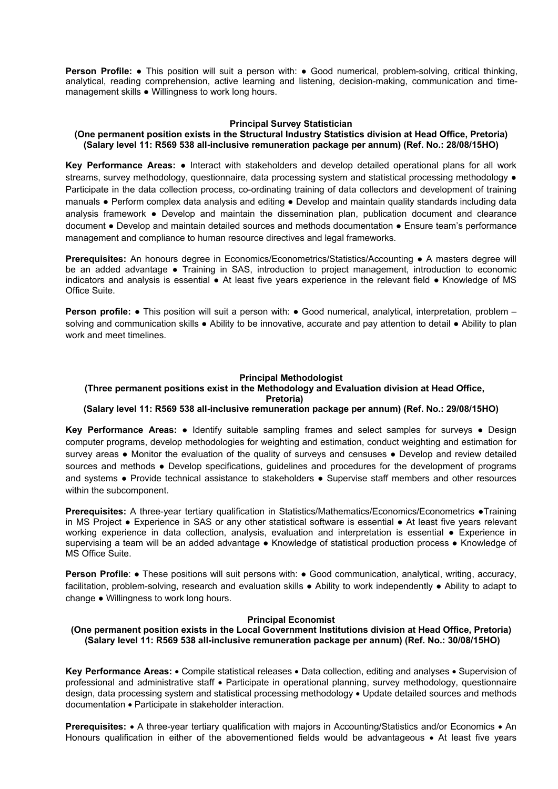**Person Profile:** • This position will suit a person with: • Good numerical, problem-solving, critical thinking, analytical, reading comprehension, active learning and listening, decision-making, communication and timemanagement skills ● Willingness to work long hours.

#### **Principal Survey Statistician**

#### **(One permanent position exists in the Structural Industry Statistics division at Head Office, Pretoria) (Salary level 11: R569 538 all-inclusive remuneration package per annum) (Ref. No.: 28/08/15HO)**

**Key Performance Areas:** ● Interact with stakeholders and develop detailed operational plans for all work streams, survey methodology, questionnaire, data processing system and statistical processing methodology  $\bullet$ Participate in the data collection process, co-ordinating training of data collectors and development of training manuals ● Perform complex data analysis and editing ● Develop and maintain quality standards including data analysis framework • Develop and maintain the dissemination plan, publication document and clearance document ● Develop and maintain detailed sources and methods documentation ● Ensure team's performance management and compliance to human resource directives and legal frameworks.

**Prerequisites:** An honours degree in Economics/Econometrics/Statistics/Accounting ● A masters degree will be an added advantage • Training in SAS, introduction to project management, introduction to economic indicators and analysis is essential ● At least five years experience in the relevant field ● Knowledge of MS Office Suite.

**Person profile: •** This position will suit a person with: • Good numerical, analytical, interpretation, problem – solving and communication skills • Ability to be innovative, accurate and pay attention to detail • Ability to plan work and meet timelines.

#### **Principal Methodologist**

# **(Three permanent positions exist in the Methodology and Evaluation division at Head Office,**

**Pretoria)** 

## **(Salary level 11: R569 538 all-inclusive remuneration package per annum) (Ref. No.: 29/08/15HO)**

**Key Performance Areas:** ● Identify suitable sampling frames and select samples for surveys ● Design computer programs, develop methodologies for weighting and estimation, conduct weighting and estimation for survey areas • Monitor the evaluation of the quality of surveys and censuses • Develop and review detailed sources and methods • Develop specifications, guidelines and procedures for the development of programs and systems ● Provide technical assistance to stakeholders ● Supervise staff members and other resources within the subcomponent.

**Prerequisites:** A three-year tertiary qualification in Statistics/Mathematics/Economics/Econometrics ●Training in MS Project ● Experience in SAS or any other statistical software is essential ● At least five years relevant working experience in data collection, analysis, evaluation and interpretation is essential ● Experience in supervising a team will be an added advantage • Knowledge of statistical production process • Knowledge of MS Office Suite.

**Person Profile: ●** These positions will suit persons with: ● Good communication, analytical, writing, accuracy, facilitation, problem-solving, research and evaluation skills ● Ability to work independently ● Ability to adapt to change ● Willingness to work long hours.

#### **Principal Economist**

**(One permanent position exists in the Local Government Institutions division at Head Office, Pretoria) (Salary level 11: R569 538 all-inclusive remuneration package per annum) (Ref. No.: 30/08/15HO)** 

Key Performance Areas: . Compile statistical releases . Data collection, editing and analyses . Supervision of professional and administrative staff Participate in operational planning, survey methodology, questionnaire design, data processing system and statistical processing methodology Update detailed sources and methods documentation • Participate in stakeholder interaction.

**Prerequisites:** • A three-year tertiary qualification with majors in Accounting/Statistics and/or Economics • An Honours qualification in either of the abovementioned fields would be advantageous • At least five years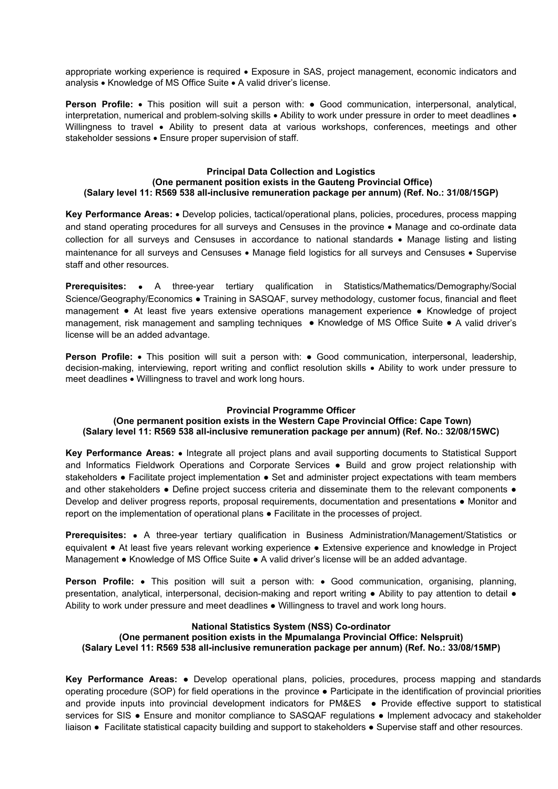appropriate working experience is required . Exposure in SAS, project management, economic indicators and analysis • Knowledge of MS Office Suite • A valid driver's license.

**Person Profile:** • This position will suit a person with: • Good communication, interpersonal, analytical, interpretation, numerical and problem-solving skills  $\bullet$  Ability to work under pressure in order to meet deadlines  $\bullet$ Willingness to travel • Ability to present data at various workshops, conferences, meetings and other stakeholder sessions · Ensure proper supervision of staff.

## **Principal Data Collection and Logistics (One permanent position exists in the Gauteng Provincial Office) (Salary level 11: R569 538 all-inclusive remuneration package per annum) (Ref. No.: 31/08/15GP)**

**Key Performance Areas:** Develop policies, tactical/operational plans, policies, procedures, process mapping and stand operating procedures for all surveys and Censuses in the province • Manage and co-ordinate data collection for all surveys and Censuses in accordance to national standards • Manage listing and listing maintenance for all surveys and Censuses • Manage field logistics for all surveys and Censuses • Supervise staff and other resources.

**Prerequisites:** • A three-year tertiary qualification in Statistics/Mathematics/Demography/Social Science/Geography/Economics ● Training in SASQAF, survey methodology, customer focus, financial and fleet management ● At least five years extensive operations management experience ● Knowledge of project management, risk management and sampling techniques ● Knowledge of MS Office Suite ● A valid driver's license will be an added advantage.

**Person Profile:** • This position will suit a person with: • Good communication, interpersonal, leadership, decision-making, interviewing, report writing and conflict resolution skills Ability to work under pressure to meet deadlines • Willingness to travel and work long hours.

## **Provincial Programme Officer**

## **(One permanent position exists in the Western Cape Provincial Office: Cape Town) (Salary level 11: R569 538 all-inclusive remuneration package per annum) (Ref. No.: 32/08/15WC)**

**Key Performance Areas:**  Integrate all project plans and avail supporting documents to Statistical Support and Informatics Fieldwork Operations and Corporate Services ● Build and grow project relationship with stakeholders • Facilitate project implementation • Set and administer project expectations with team members and other stakeholders • Define project success criteria and disseminate them to the relevant components • Develop and deliver progress reports, proposal requirements, documentation and presentations ● Monitor and report on the implementation of operational plans ● Facilitate in the processes of project.

**Prerequisites:** • A three-year tertiary qualification in Business Administration/Management/Statistics or equivalent • At least five years relevant working experience • Extensive experience and knowledge in Project Management ● Knowledge of MS Office Suite ● A valid driver's license will be an added advantage.

**Person Profile:** • This position will suit a person with: • Good communication, organising, planning, presentation, analytical, interpersonal, decision-making and report writing ● Ability to pay attention to detail ● Ability to work under pressure and meet deadlines ● Willingness to travel and work long hours.

# **National Statistics System (NSS) Co-ordinator**

**(One permanent position exists in the Mpumalanga Provincial Office: Nelspruit) (Salary Level 11: R569 538 all-inclusive remuneration package per annum) (Ref. No.: 33/08/15MP)** 

**Key Performance Areas:** ● Develop operational plans, policies, procedures, process mapping and standards operating procedure (SOP) for field operations in the province ● Participate in the identification of provincial priorities and provide inputs into provincial development indicators for PM&ES ● Provide effective support to statistical services for SIS • Ensure and monitor compliance to SASQAF regulations • Implement advocacy and stakeholder liaison ● Facilitate statistical capacity building and support to stakeholders ● Supervise staff and other resources.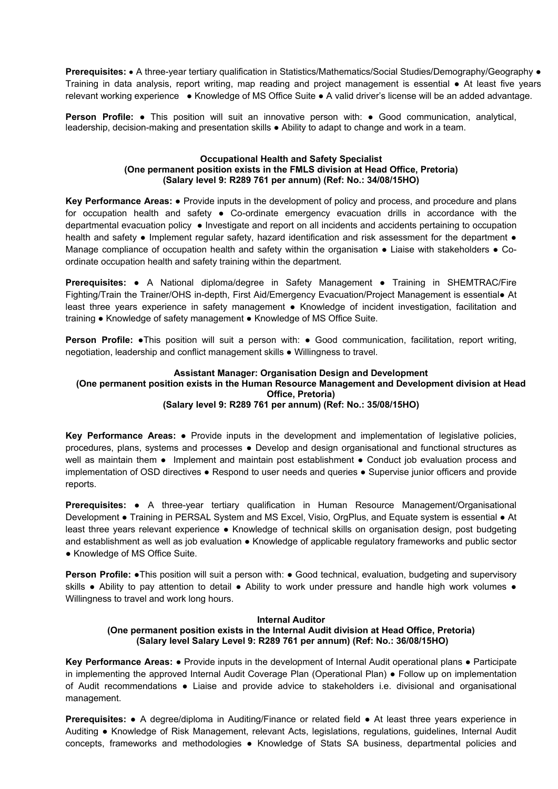**Prerequisites:** • A three-year tertiary qualification in Statistics/Mathematics/Social Studies/Demography/Geography • Training in data analysis, report writing, map reading and project management is essential ● At least five years relevant working experience ● Knowledge of MS Office Suite ● A valid driver's license will be an added advantage.

**Person Profile: •** This position will suit an innovative person with: • Good communication, analytical, leadership, decision-making and presentation skills ● Ability to adapt to change and work in a team.

## **Occupational Health and Safety Specialist (One permanent position exists in the FMLS division at Head Office, Pretoria) (Salary level 9: R289 761 per annum) (Ref: No.: 34/08/15HO)**

**Key Performance Areas:** ● Provide inputs in the development of policy and process, and procedure and plans for occupation health and safety • Co-ordinate emergency evacuation drills in accordance with the departmental evacuation policy ● Investigate and report on all incidents and accidents pertaining to occupation health and safety • Implement regular safety, hazard identification and risk assessment for the department • Manage compliance of occupation health and safety within the organisation • Liaise with stakeholders • Coordinate occupation health and safety training within the department.

**Prerequisites:** ● A National diploma/degree in Safety Management ● Training in SHEMTRAC/Fire Fighting/Train the Trainer/OHS in-depth, First Aid/Emergency Evacuation/Project Management is essential● At least three years experience in safety management ● Knowledge of incident investigation, facilitation and training ● Knowledge of safety management ● Knowledge of MS Office Suite.

**Person Profile:** . This position will suit a person with: . Good communication, facilitation, report writing, negotiation, leadership and conflict management skills ● Willingness to travel.

## **Assistant Manager: Organisation Design and Development (One permanent position exists in the Human Resource Management and Development division at Head Office, Pretoria) (Salary level 9: R289 761 per annum) (Ref: No.: 35/08/15HO)**

**Key Performance Areas:** ● Provide inputs in the development and implementation of legislative policies, procedures, plans, systems and processes ● Develop and design organisational and functional structures as well as maintain them • Implement and maintain post establishment • Conduct job evaluation process and implementation of OSD directives ● Respond to user needs and queries ● Supervise junior officers and provide reports.

**Prerequisites:** ● A three-year tertiary qualification in Human Resource Management/Organisational Development ● Training in PERSAL System and MS Excel, Visio, OrgPlus, and Equate system is essential ● At least three years relevant experience ● Knowledge of technical skills on organisation design, post budgeting and establishment as well as job evaluation ● Knowledge of applicable regulatory frameworks and public sector ● Knowledge of MS Office Suite.

**Person Profile: •This position will suit a person with: • Good technical, evaluation, budgeting and supervisory** skills • Ability to pay attention to detail • Ability to work under pressure and handle high work volumes • Willingness to travel and work long hours.

## **Internal Auditor (One permanent position exists in the Internal Audit division at Head Office, Pretoria) (Salary level Salary Level 9: R289 761 per annum) (Ref: No.: 36/08/15HO)**

**Key Performance Areas:** ● Provide inputs in the development of Internal Audit operational plans ● Participate in implementing the approved Internal Audit Coverage Plan (Operational Plan) ● Follow up on implementation of Audit recommendations ● Liaise and provide advice to stakeholders i.e. divisional and organisational management.

**Prerequisites:** ● A degree/diploma in Auditing/Finance or related field ● At least three years experience in Auditing ● Knowledge of Risk Management, relevant Acts, legislations, regulations, guidelines, Internal Audit concepts, frameworks and methodologies • Knowledge of Stats SA business, departmental policies and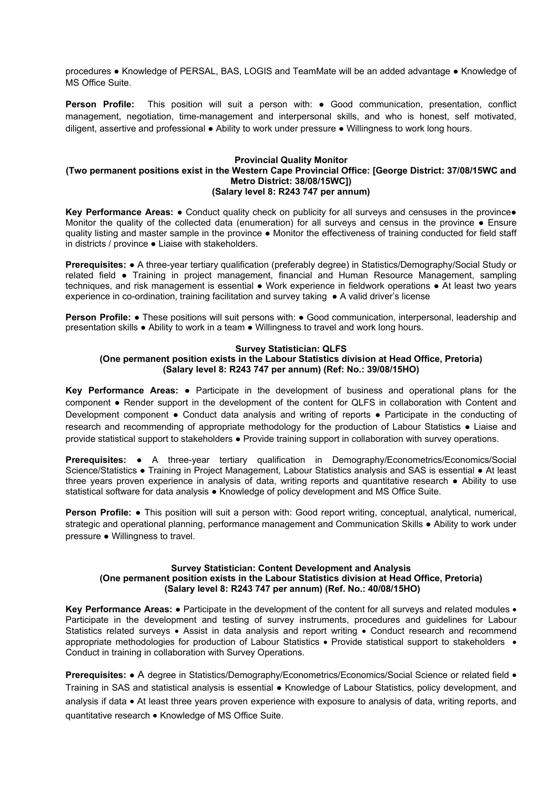procedures ● Knowledge of PERSAL, BAS, LOGIS and TeamMate will be an added advantage ● Knowledge of MS Office Suite.

**Person Profile:** This position will suit a person with: • Good communication, presentation, conflict management, negotiation, time-management and interpersonal skills, and who is honest, self motivated, diligent, assertive and professional ● Ability to work under pressure ● Willingness to work long hours.

#### **Provincial Quality Monitor (Two permanent positions exist in the Western Cape Provincial Office: [George District: 37/08/15WC and Metro District: 38/08/15WC]) (Salary level 8: R243 747 per annum)**

**Key Performance Areas: ●** Conduct quality check on publicity for all surveys and censuses in the province● Monitor the quality of the collected data (enumeration) for all surveys and census in the province ● Ensure quality listing and master sample in the province ● Monitor the effectiveness of training conducted for field staff in districts / province ● Liaise with stakeholders.

**Prerequisites:** ● A three-year tertiary qualification (preferably degree) in Statistics/Demography/Social Study or related field ● Training in project management, financial and Human Resource Management, sampling techniques, and risk management is essential ● Work experience in fieldwork operations ● At least two years experience in co-ordination, training facilitation and survey taking ● A valid driver's license

**Person Profile: •** These positions will suit persons with: • Good communication, interpersonal, leadership and presentation skills ● Ability to work in a team ● Willingness to travel and work long hours.

#### **Survey Statistician: QLFS (One permanent position exists in the Labour Statistics division at Head Office, Pretoria) (Salary level 8: R243 747 per annum) (Ref: No.: 39/08/15HO)**

**Key Performance Areas: ●** Participate in the development of business and operational plans for the component ● Render support in the development of the content for QLFS in collaboration with Content and Development component • Conduct data analysis and writing of reports • Participate in the conducting of research and recommending of appropriate methodology for the production of Labour Statistics ● Liaise and provide statistical support to stakeholders ● Provide training support in collaboration with survey operations.

**Prerequisites:** • A three-year tertiary qualification in Demography/Econometrics/Economics/Social Science/Statistics ● Training in Project Management, Labour Statistics analysis and SAS is essential ● At least three years proven experience in analysis of data, writing reports and quantitative research **●** Ability to use statistical software for data analysis **●** Knowledge of policy development and MS Office Suite.

**Person Profile: ●** This position will suit a person with: Good report writing, conceptual, analytical, numerical, strategic and operational planning, performance management and Communication Skills • Ability to work under pressure ● Willingness to travel.

## **Survey Statistician: Content Development and Analysis (One permanent position exists in the Labour Statistics division at Head Office, Pretoria) (Salary level 8: R243 747 per annum) (Ref. No.: 40/08/15HO)**

Key Performance Areas: • Participate in the development of the content for all surveys and related modules • Participate in the development and testing of survey instruments, procedures and guidelines for Labour Statistics related surveys • Assist in data analysis and report writing • Conduct research and recommend appropriate methodologies for production of Labour Statistics • Provide statistical support to stakeholders • Conduct in training in collaboration with Survey Operations.

**Prerequisites:** ● A degree in Statistics/Demography/Econometrics/Economics/Social Science or related field ● Training in SAS and statistical analysis is essential ● Knowledge of Labour Statistics, policy development, and analysis if data • At least three years proven experience with exposure to analysis of data, writing reports, and quantitative research • Knowledge of MS Office Suite.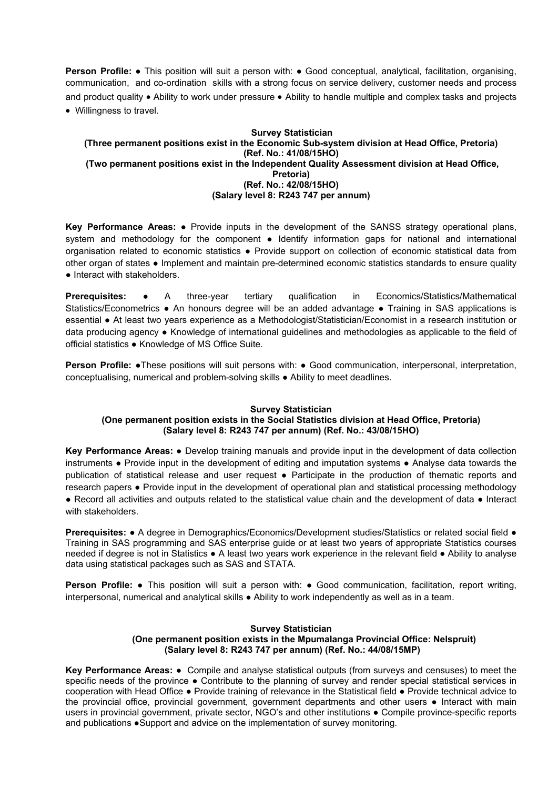**Person Profile:** • This position will suit a person with: • Good conceptual, analytical, facilitation, organising, communication, and co-ordination skills with a strong focus on service delivery, customer needs and process and product quality . Ability to work under pressure . Ability to handle multiple and complex tasks and projects Willingness to travel.

## **Survey Statistician (Three permanent positions exist in the Economic Sub-system division at Head Office, Pretoria) (Ref. No.: 41/08/15HO) (Two permanent positions exist in the Independent Quality Assessment division at Head Office, Pretoria) (Ref. No.: 42/08/15HO) (Salary level 8: R243 747 per annum)**

**Key Performance Areas:** ● Provide inputs in the development of the SANSS strategy operational plans, system and methodology for the component • Identify information gaps for national and international organisation related to economic statistics ● Provide support on collection of economic statistical data from other organ of states ● Implement and maintain pre-determined economic statistics standards to ensure quality ● Interact with stakeholders.

**Prerequisites:** ● A three-year tertiary qualification in Economics/Statistics/Mathematical Statistics/Econometrics ● An honours degree will be an added advantage ● Training in SAS applications is essential ● At least two years experience as a Methodologist/Statistician/Economist in a research institution or data producing agency ● Knowledge of international guidelines and methodologies as applicable to the field of official statistics ● Knowledge of MS Office Suite.

**Person Profile: •**These positions will suit persons with: • Good communication, interpersonal, interpretation, conceptualising, numerical and problem-solving skills ● Ability to meet deadlines.

## **Survey Statistician**

## **(One permanent position exists in the Social Statistics division at Head Office, Pretoria) (Salary level 8: R243 747 per annum) (Ref. No.: 43/08/15HO)**

**Key Performance Areas:** ● Develop training manuals and provide input in the development of data collection instruments ● Provide input in the development of editing and imputation systems ● Analyse data towards the publication of statistical release and user request ● Participate in the production of thematic reports and research papers ● Provide input in the development of operational plan and statistical processing methodology ● Record all activities and outputs related to the statistical value chain and the development of data ● Interact with stakeholders.

**Prerequisites: ●** A degree in Demographics/Economics/Development studies/Statistics or related social field ● Training in SAS programming and SAS enterprise guide or at least two years of appropriate Statistics courses needed if degree is not in Statistics ● A least two years work experience in the relevant field ● Ability to analyse data using statistical packages such as SAS and STATA.

**Person Profile:** • This position will suit a person with: • Good communication, facilitation, report writing, interpersonal, numerical and analytical skills ● Ability to work independently as well as in a team.

## **Survey Statistician**

## **(One permanent position exists in the Mpumalanga Provincial Office: Nelspruit) (Salary level 8: R243 747 per annum) (Ref. No.: 44/08/15MP)**

**Key Performance Areas:** ● Compile and analyse statistical outputs (from surveys and censuses) to meet the specific needs of the province • Contribute to the planning of survey and render special statistical services in cooperation with Head Office ● Provide training of relevance in the Statistical field ● Provide technical advice to the provincial office, provincial government, government departments and other users ● Interact with main users in provincial government, private sector, NGO's and other institutions ● Compile province-specific reports and publications ●Support and advice on the implementation of survey monitoring.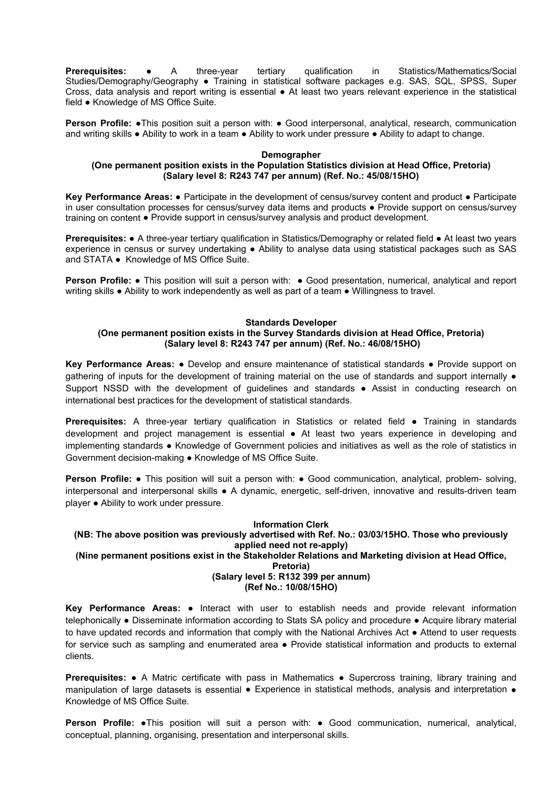**Prerequisites:** • A three-year tertiary qualification in Statistics/Mathematics/Social Studies/Demography/Geography • Training in statistical software packages e.g. SAS, SQL, SPSS, Super Cross, data analysis and report writing is essential ● At least two years relevant experience in the statistical field ● Knowledge of MS Office Suite.

**Person Profile: •**This position suit a person with: • Good interpersonal, analytical, research, communication and writing skills ● Ability to work in a team ● Ability to work under pressure ● Ability to adapt to change.

#### **Demographer**

## **(One permanent position exists in the Population Statistics division at Head Office, Pretoria) (Salary level 8: R243 747 per annum) (Ref. No.: 45/08/15HO)**

**Key Performance Areas:** ● Participate in the development of census/survey content and product ● Participate in user consultation processes for census/survey data items and products ● Provide support on census/survey training on content ● Provide support in census/survey analysis and product development.

**Prerequisites:** ● A three-year tertiary qualification in Statistics/Demography or related field ● At least two years experience in census or survey undertaking ● Ability to analyse data using statistical packages such as SAS and STATA ● Knowledge of MS Office Suite.

**Person Profile:** ● This position will suit a person with: ● Good presentation, numerical, analytical and report writing skills ● Ability to work independently as well as part of a team ● Willingness to travel.

#### **Standards Developer**

## **(One permanent position exists in the Survey Standards division at Head Office, Pretoria) (Salary level 8: R243 747 per annum) (Ref. No.: 46/08/15HO)**

**Key Performance Areas:** ● Develop and ensure maintenance of statistical standards ● Provide support on gathering of inputs for the development of training material on the use of standards and support internally ● Support NSSD with the development of guidelines and standards ● Assist in conducting research on international best practices for the development of statistical standards.

**Prerequisites:** A three-year tertiary qualification in Statistics or related field ● Training in standards development and project management is essential ● At least two years experience in developing and implementing standards ● Knowledge of Government policies and initiatives as well as the role of statistics in Government decision-making ● Knowledge of MS Office Suite.

**Person Profile:** • This position will suit a person with: • Good communication, analytical, problem- solving, interpersonal and interpersonal skills ● A dynamic, energetic, self-driven, innovative and results-driven team player ● Ability to work under pressure.

#### **Information Clerk**

## **(NB: The above position was previously advertised with Ref. No.: 03/03/15HO. Those who previously applied need not re-apply)**

**(Nine permanent positions exist in the Stakeholder Relations and Marketing division at Head Office,** 

# **Pretoria)**

**(Salary level 5: R132 399 per annum)** 

#### **(Ref No.: 10/08/15HO)**

**Key Performance Areas:** ● Interact with user to establish needs and provide relevant information telephonically ● Disseminate information according to Stats SA policy and procedure ● Acquire library material to have updated records and information that comply with the National Archives Act ● Attend to user requests for service such as sampling and enumerated area • Provide statistical information and products to external clients.

**Prerequisites:** • A Matric certificate with pass in Mathematics • Supercross training, library training and manipulation of large datasets is essential ● Experience in statistical methods, analysis and interpretation ● Knowledge of MS Office Suite.

**Person Profile:** ●This position will suit a person with: ● Good communication, numerical, analytical, conceptual, planning, organising, presentation and interpersonal skills.